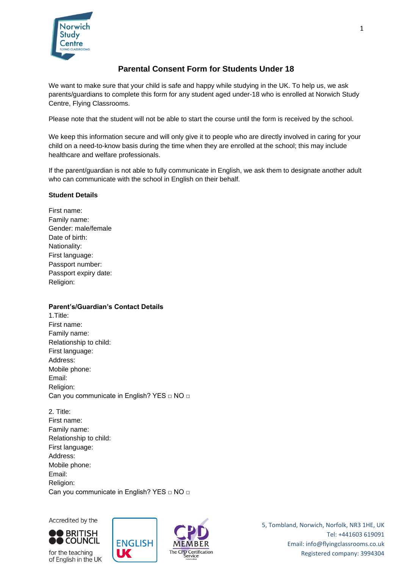

# **Parental Consent Form for Students Under 18**

We want to make sure that your child is safe and happy while studying in the UK. To help us, we ask parents/guardians to complete this form for any student aged under-18 who is enrolled at Norwich Study Centre, Flying Classrooms.

Please note that the student will not be able to start the course until the form is received by the school.

We keep this information secure and will only give it to people who are directly involved in caring for your child on a need-to-know basis during the time when they are enrolled at the school; this may include healthcare and welfare professionals.

If the parent/guardian is not able to fully communicate in English, we ask them to designate another adult who can communicate with the school in English on their behalf.

#### **Student Details**

First name: Family name: Gender: male/female Date of birth: Nationality: First language: Passport number: Passport expiry date: Religion:

# **Parent's/Guardian's Contact Details**

- 1.Title: First name: Family name: Relationship to child: First language: Address: Mobile phone: Email: Religion: Can you communicate in English? YES □ NO □
- 2. Title: First name: Family name: Relationship to child: First language: Address: Mobile phone: Email: Religion: Can you communicate in English? YES □ NO □

Accredited by the



for the teaching of English in the UK



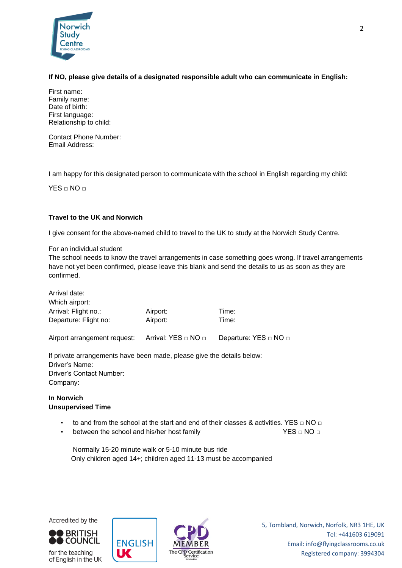

# **If NO, please give details of a designated responsible adult who can communicate in English:**

First name: Family name: Date of birth: First language: Relationship to child:

Contact Phone Number: Email Address:

I am happy for this designated person to communicate with the school in English regarding my child:

 $YES \cap NO \cap$ 

# **Travel to the UK and Norwich**

I give consent for the above-named child to travel to the UK to study at the Norwich Study Centre.

For an individual student

The school needs to know the travel arrangements in case something goes wrong. If travel arrangements have not yet been confirmed, please leave this blank and send the details to us as soon as they are confirmed.

| Arrival date:         |          |       |  |
|-----------------------|----------|-------|--|
| Which airport:        |          |       |  |
| Arrival: Flight no.:  | Airport: | Time: |  |
| Departure: Flight no: | Airport: | Time: |  |
|                       |          |       |  |

Airport arrangement request: Arrival: YES □ NO □ Departure: YES □ NO □

If private arrangements have been made, please give the details below: Driver's Name: Driver's Contact Number: Company:

# **In Norwich Unsupervised Time**

to and from the school at the start and end of their classes & activities. YES  $\Box$  NO  $\Box$ 

The CPD Certification

between the school and his/her host family  $YES \square NO \square$ 

Normally 15-20 minute walk or 5-10 minute bus ride Only children aged 14+; children aged 11-13 must be accompanied



for the teaching of English in the UK



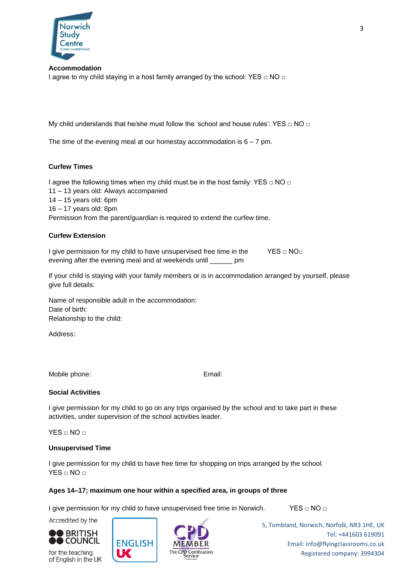

**Accommodation** I agree to my child staying in a host family arranged by the school: YES  $\Box$  NO  $\Box$ 

My child understands that he/she must follow the 'school and house rules': YES  $□$  NO  $□$ 

The time of the evening meal at our homestay accommodation is  $6 - 7$  pm.

# **Curfew Times**

I agree the following times when my child must be in the host family: YES □ NO □ 11 – 13 years old: Always accompanied 14 – 15 years old: 6pm 16 – 17 years old: 8pm Permission from the parent/guardian is required to extend the curfew time.

#### **Curfew Extension**

I give permission for my child to have unsupervised free time in the YES  $\Box$  NO $\Box$ evening after the evening meal and at weekends until \_\_\_\_\_\_ pm

If your child is staying with your family members or is in accommodation arranged by yourself, please give full details:

Name of responsible adult in the accommodation: Date of birth: Relationship to the child:

Address:

Mobile phone: Email:

# **Social Activities**

I give permission for my child to go on any trips organised by the school and to take part in these activities, under supervision of the school activities leader.

 $YES \square NO \square$ 

#### **Unsupervised Time**

I give permission for my child to have free time for shopping on trips arranged by the school. YES □ NO □

# **Ages 14–17; maximum one hour within a specified area, in groups of three**

I give permission for my child to have unsupervised free time in Norwich. YES  $\Box$  NO  $\Box$ 



Accredited by the

for the teaching of English in the UK



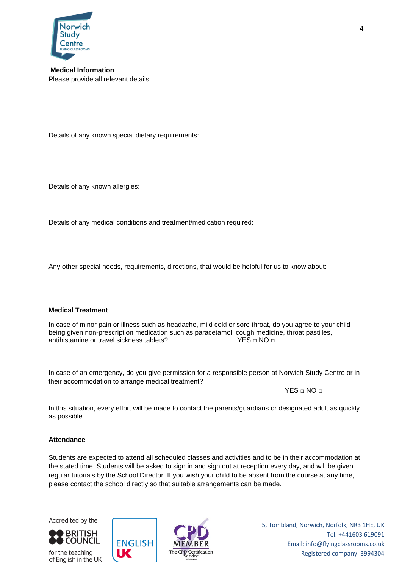

**Medical Information** Please provide all relevant details.

Details of any known special dietary requirements:

Details of any known allergies:

Details of any medical conditions and treatment/medication required:

Any other special needs, requirements, directions, that would be helpful for us to know about:

#### **Medical Treatment**

In case of minor pain or illness such as headache, mild cold or sore throat, do you agree to your child being given non-prescription medication such as paracetamol, cough medicine, throat pastilles, antihistamine or travel sickness tablets?  $YES \square NO \square$ 

In case of an emergency, do you give permission for a responsible person at Norwich Study Centre or in their accommodation to arrange medical treatment?

 $YES \Box NO \Box$ 

In this situation, every effort will be made to contact the parents/guardians or designated adult as quickly as possible.

# **Attendance**

Students are expected to attend all scheduled classes and activities and to be in their accommodation at the stated time. Students will be asked to sign in and sign out at reception every day, and will be given regular tutorials by the School Director. If you wish your child to be absent from the course at any time, please contact the school directly so that suitable arrangements can be made.

Accredited by the



for the teaching of English in the UK



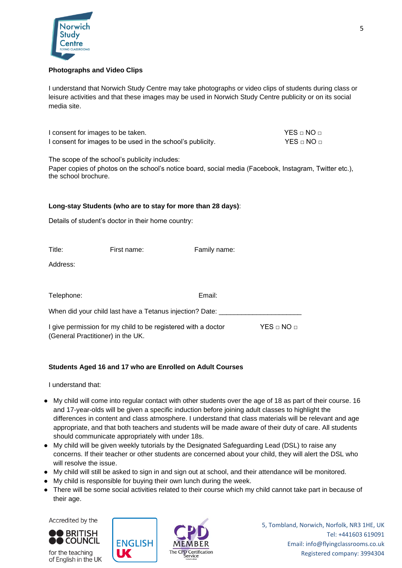

# **Photographs and Video Clips**

I understand that Norwich Study Centre may take photographs or video clips of students during class or leisure activities and that these images may be used in Norwich Study Centre publicity or on its social media site.

| I consent for images to be taken.                          | $YES \sqcap NO \sqcap$ |
|------------------------------------------------------------|------------------------|
| I consent for images to be used in the school's publicity. | $YES \sqcap NO \sqcap$ |

The scope of the school's publicity includes:

Paper copies of photos on the school's notice board, social media (Facebook, Instagram, Twitter etc.), the school brochure.

#### **Long-stay Students (who are to stay for more than 28 days)**:

Details of student's doctor in their home country:

| Title:                                                                                             | First name: | Family name: |                        |  |  |
|----------------------------------------------------------------------------------------------------|-------------|--------------|------------------------|--|--|
| Address:                                                                                           |             |              |                        |  |  |
|                                                                                                    |             |              |                        |  |  |
| Telephone:                                                                                         |             | Email:       |                        |  |  |
| When did your child last have a Tetanus injection? Date:                                           |             |              |                        |  |  |
| I give permission for my child to be registered with a doctor<br>(General Practitioner) in the UK. |             |              | $YES \sqcup NO \sqcup$ |  |  |

# **Students Aged 16 and 17 who are Enrolled on Adult Courses**

I understand that:

- My child will come into regular contact with other students over the age of 18 as part of their course. 16 and 17-year-olds will be given a specific induction before joining adult classes to highlight the differences in content and class atmosphere. I understand that class materials will be relevant and age appropriate, and that both teachers and students will be made aware of their duty of care. All students should communicate appropriately with under 18s.
- My child will be given weekly tutorials by the Designated Safeguarding Lead (DSL) to raise any concerns. If their teacher or other students are concerned about your child, they will alert the DSL who will resolve the issue.
- My child will still be asked to sign in and sign out at school, and their attendance will be monitored.
- My child is responsible for buying their own lunch during the week.
- There will be some social activities related to their course which my child cannot take part in because of their age.

Accredited by the



for the teaching of English in the UK